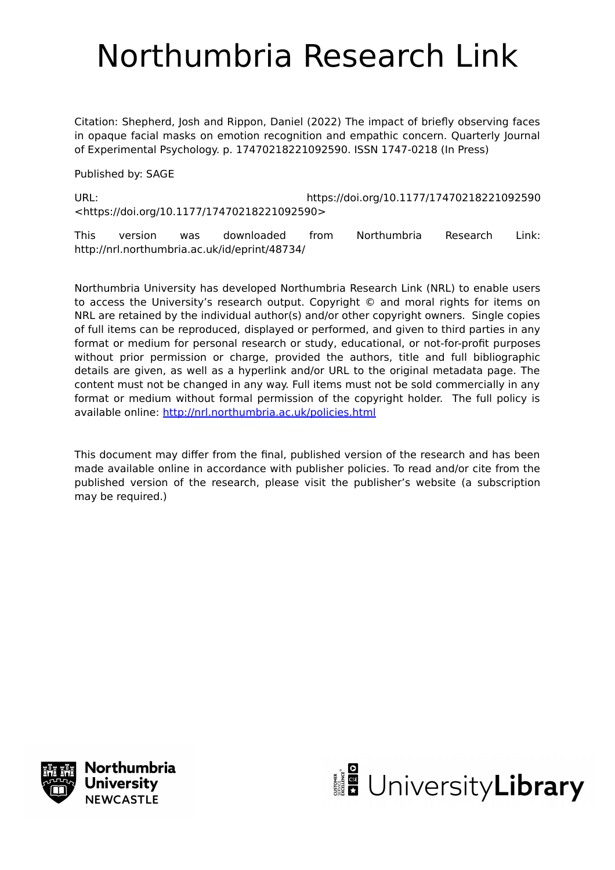# Northumbria Research Link

Citation: Shepherd, Josh and Rippon, Daniel (2022) The impact of briefly observing faces in opaque facial masks on emotion recognition and empathic concern. Quarterly Journal of Experimental Psychology. p. 17470218221092590. ISSN 1747-0218 (In Press)

Published by: SAGE

URL: https://doi.org/10.1177/17470218221092590 <https://doi.org/10.1177/17470218221092590>

This version was downloaded from Northumbria Research Link: http://nrl.northumbria.ac.uk/id/eprint/48734/

Northumbria University has developed Northumbria Research Link (NRL) to enable users to access the University's research output. Copyright © and moral rights for items on NRL are retained by the individual author(s) and/or other copyright owners. Single copies of full items can be reproduced, displayed or performed, and given to third parties in any format or medium for personal research or study, educational, or not-for-profit purposes without prior permission or charge, provided the authors, title and full bibliographic details are given, as well as a hyperlink and/or URL to the original metadata page. The content must not be changed in any way. Full items must not be sold commercially in any format or medium without formal permission of the copyright holder. The full policy is available online:<http://nrl.northumbria.ac.uk/policies.html>

This document may differ from the final, published version of the research and has been made available online in accordance with publisher policies. To read and/or cite from the published version of the research, please visit the publisher's website (a subscription may be required.)



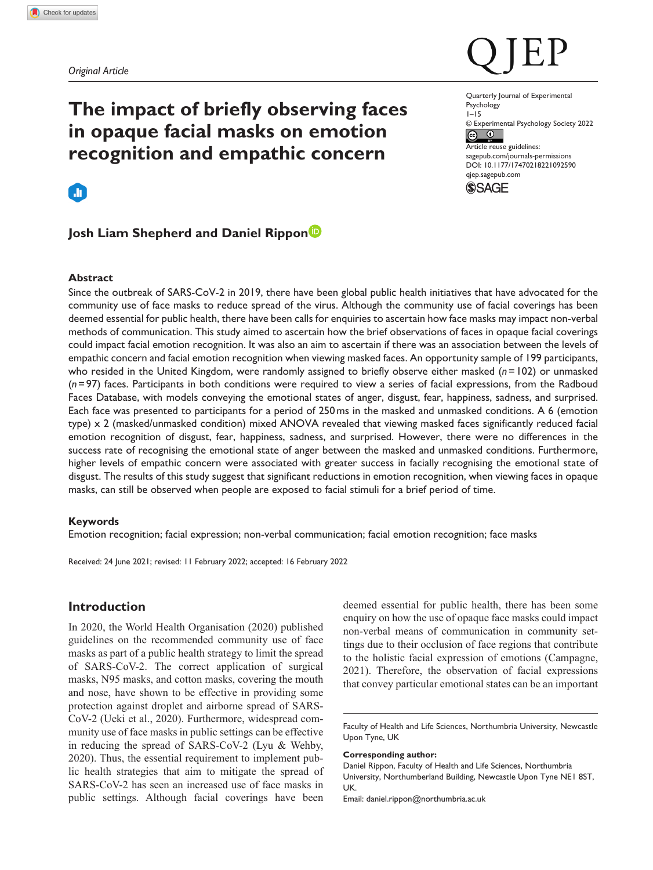## **The impact of briefly observing faces in opaque facial masks on emotion recognition and empathic concern**



### **Josh Liam Shepherd and Daniel Rippon**

#### **Abstract**

Since the outbreak of SARS-CoV-2 in 2019, there have been global public health initiatives that have advocated for the community use of face masks to reduce spread of the virus. Although the community use of facial coverings has been deemed essential for public health, there have been calls for enquiries to ascertain how face masks may impact non-verbal methods of communication. This study aimed to ascertain how the brief observations of faces in opaque facial coverings could impact facial emotion recognition. It was also an aim to ascertain if there was an association between the levels of empathic concern and facial emotion recognition when viewing masked faces. An opportunity sample of 199 participants, who resided in the United Kingdom, were randomly assigned to briefly observe either masked (*n*=102) or unmasked (*n*=97) faces. Participants in both conditions were required to view a series of facial expressions, from the Radboud Faces Database, with models conveying the emotional states of anger, disgust, fear, happiness, sadness, and surprised. Each face was presented to participants for a period of 250ms in the masked and unmasked conditions. A 6 (emotion type) x 2 (masked/unmasked condition) mixed ANOVA revealed that viewing masked faces significantly reduced facial emotion recognition of disgust, fear, happiness, sadness, and surprised. However, there were no differences in the success rate of recognising the emotional state of anger between the masked and unmasked conditions. Furthermore, higher levels of empathic concern were associated with greater success in facially recognising the emotional state of disgust. The results of this study suggest that significant reductions in emotion recognition, when viewing faces in opaque masks, can still be observed when people are exposed to facial stimuli for a brief period of time.

#### **Keywords**

Emotion recognition; facial expression; non-verbal communication; facial emotion recognition; face masks

Received: 24 June 2021; revised: 11 February 2022; accepted: 16 February 2022

#### **Introduction**

In 2020, the World Health Organisation (2020) published guidelines on the recommended community use of face masks as part of a public health strategy to limit the spread of SARS-CoV-2. The correct application of surgical masks, N95 masks, and cotton masks, covering the mouth and nose, have shown to be effective in providing some protection against droplet and airborne spread of SARS-CoV-2 (Ueki et al., 2020). Furthermore, widespread community use of face masks in public settings can be effective in reducing the spread of SARS-CoV-2 (Lyu & Wehby, 2020). Thus, the essential requirement to implement public health strategies that aim to mitigate the spread of SARS-CoV-2 has seen an increased use of face masks in public settings. Although facial coverings have been

deemed essential for public health, there has been some enquiry on how the use of opaque face masks could impact non-verbal means of communication in community settings due to their occlusion of face regions that contribute to the holistic facial expression of emotions (Campagne, 2021). Therefore, the observation of facial expressions that convey particular emotional states can be an important

Faculty of Health and Life Sciences, Northumbria University, Newcastle Upon Tyne, UK

#### **Corresponding author:**

Daniel Rippon, Faculty of Health and Life Sciences, Northumbria University, Northumberland Building, Newcastle Upon Tyne NE1 8ST, UK.

Email: [daniel.rippon@northumbria.ac.uk](mailto:daniel.rippon@northumbria.ac.uk)

Quarterly Journal of Experimental Psychology 1–15 © Experimental Psychology Society 2022  $\circ$   $\circ$ Article reuse guidelines: [sagepub.com/journals-permissions](https://uk.sagepub.com/en-gb/journals-permissions) DOI: 10.1177/17470218221092590 [qjep.sagepub.com](http://qjep.sagepub.com)

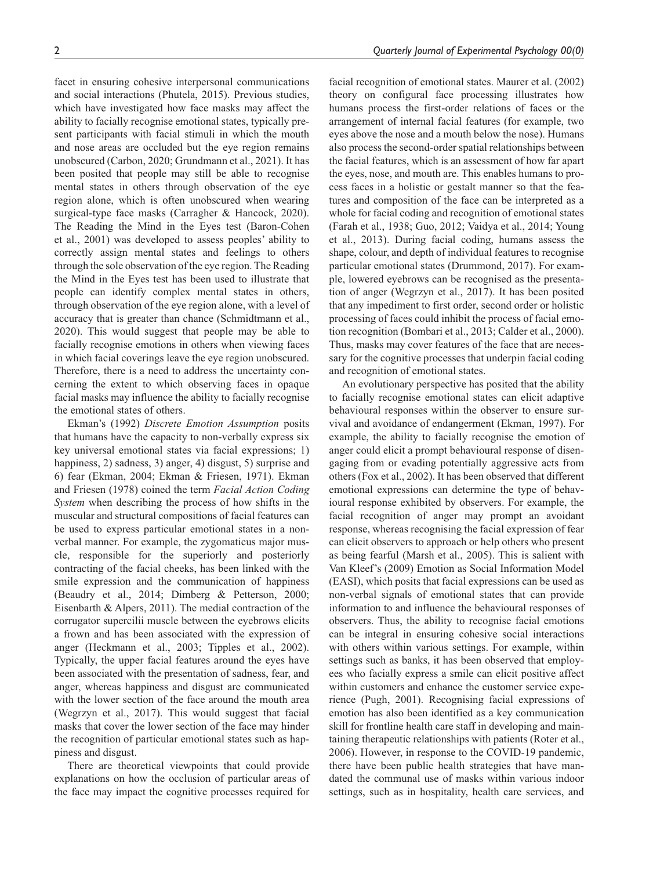facet in ensuring cohesive interpersonal communications and social interactions (Phutela, 2015). Previous studies, which have investigated how face masks may affect the ability to facially recognise emotional states, typically present participants with facial stimuli in which the mouth and nose areas are occluded but the eye region remains unobscured (Carbon, 2020; Grundmann et al., 2021). It has been posited that people may still be able to recognise mental states in others through observation of the eye region alone, which is often unobscured when wearing surgical-type face masks (Carragher & Hancock, 2020). The Reading the Mind in the Eyes test (Baron-Cohen et al., 2001) was developed to assess peoples' ability to correctly assign mental states and feelings to others through the sole observation of the eye region. The Reading the Mind in the Eyes test has been used to illustrate that people can identify complex mental states in others, through observation of the eye region alone, with a level of accuracy that is greater than chance (Schmidtmann et al., 2020). This would suggest that people may be able to facially recognise emotions in others when viewing faces in which facial coverings leave the eye region unobscured. Therefore, there is a need to address the uncertainty concerning the extent to which observing faces in opaque facial masks may influence the ability to facially recognise the emotional states of others.

Ekman's (1992) *Discrete Emotion Assumption* posits that humans have the capacity to non-verbally express six key universal emotional states via facial expressions; 1) happiness, 2) sadness, 3) anger, 4) disgust, 5) surprise and 6) fear (Ekman, 2004; Ekman & Friesen, 1971). Ekman and Friesen (1978) coined the term *Facial Action Coding System* when describing the process of how shifts in the muscular and structural compositions of facial features can be used to express particular emotional states in a nonverbal manner. For example, the zygomaticus major muscle, responsible for the superiorly and posteriorly contracting of the facial cheeks, has been linked with the smile expression and the communication of happiness (Beaudry et al., 2014; Dimberg & Petterson, 2000; Eisenbarth & Alpers, 2011). The medial contraction of the corrugator supercilii muscle between the eyebrows elicits a frown and has been associated with the expression of anger (Heckmann et al., 2003; Tipples et al., 2002). Typically, the upper facial features around the eyes have been associated with the presentation of sadness, fear, and anger, whereas happiness and disgust are communicated with the lower section of the face around the mouth area (Wegrzyn et al., 2017). This would suggest that facial masks that cover the lower section of the face may hinder the recognition of particular emotional states such as happiness and disgust.

There are theoretical viewpoints that could provide explanations on how the occlusion of particular areas of the face may impact the cognitive processes required for

facial recognition of emotional states. Maurer et al. (2002) theory on configural face processing illustrates how humans process the first-order relations of faces or the arrangement of internal facial features (for example, two eyes above the nose and a mouth below the nose). Humans also process the second-order spatial relationships between the facial features, which is an assessment of how far apart the eyes, nose, and mouth are. This enables humans to process faces in a holistic or gestalt manner so that the features and composition of the face can be interpreted as a whole for facial coding and recognition of emotional states (Farah et al., 1938; Guo, 2012; Vaidya et al., 2014; Young et al., 2013). During facial coding, humans assess the shape, colour, and depth of individual features to recognise particular emotional states (Drummond, 2017). For example, lowered eyebrows can be recognised as the presentation of anger (Wegrzyn et al., 2017). It has been posited that any impediment to first order, second order or holistic processing of faces could inhibit the process of facial emotion recognition (Bombari et al., 2013; Calder et al., 2000). Thus, masks may cover features of the face that are necessary for the cognitive processes that underpin facial coding and recognition of emotional states.

An evolutionary perspective has posited that the ability to facially recognise emotional states can elicit adaptive behavioural responses within the observer to ensure survival and avoidance of endangerment (Ekman, 1997). For example, the ability to facially recognise the emotion of anger could elicit a prompt behavioural response of disengaging from or evading potentially aggressive acts from others (Fox et al., 2002). It has been observed that different emotional expressions can determine the type of behavioural response exhibited by observers. For example, the facial recognition of anger may prompt an avoidant response, whereas recognising the facial expression of fear can elicit observers to approach or help others who present as being fearful (Marsh et al., 2005). This is salient with Van Kleef's (2009) Emotion as Social Information Model (EASI), which posits that facial expressions can be used as non-verbal signals of emotional states that can provide information to and influence the behavioural responses of observers. Thus, the ability to recognise facial emotions can be integral in ensuring cohesive social interactions with others within various settings. For example, within settings such as banks, it has been observed that employees who facially express a smile can elicit positive affect within customers and enhance the customer service experience (Pugh, 2001). Recognising facial expressions of emotion has also been identified as a key communication skill for frontline health care staff in developing and maintaining therapeutic relationships with patients (Roter et al., 2006). However, in response to the COVID-19 pandemic, there have been public health strategies that have mandated the communal use of masks within various indoor settings, such as in hospitality, health care services, and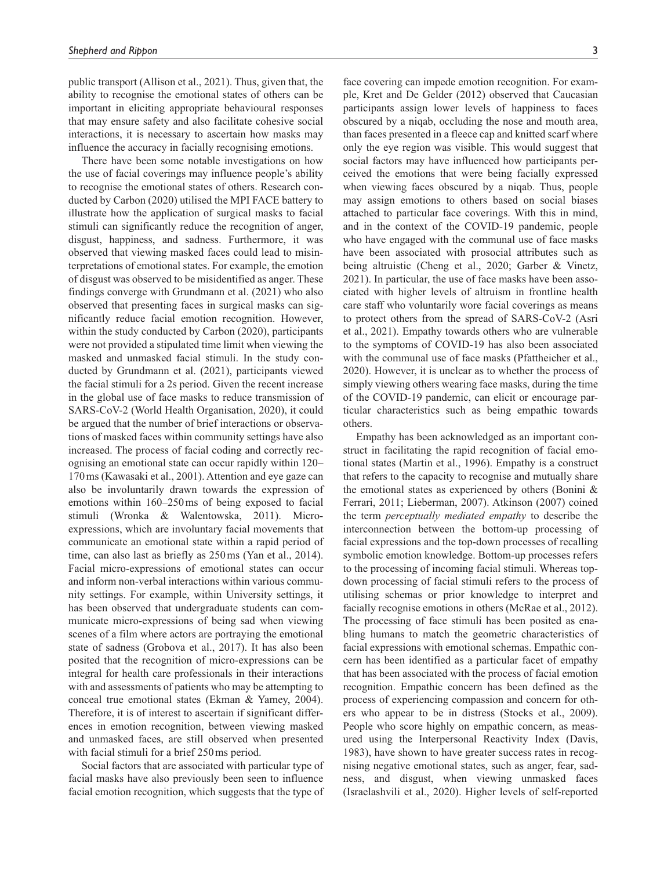public transport (Allison et al., 2021). Thus, given that, the ability to recognise the emotional states of others can be important in eliciting appropriate behavioural responses that may ensure safety and also facilitate cohesive social interactions, it is necessary to ascertain how masks may influence the accuracy in facially recognising emotions.

There have been some notable investigations on how the use of facial coverings may influence people's ability to recognise the emotional states of others. Research conducted by Carbon (2020) utilised the MPI FACE battery to illustrate how the application of surgical masks to facial stimuli can significantly reduce the recognition of anger, disgust, happiness, and sadness. Furthermore, it was observed that viewing masked faces could lead to misinterpretations of emotional states. For example, the emotion of disgust was observed to be misidentified as anger. These findings converge with Grundmann et al. (2021) who also observed that presenting faces in surgical masks can significantly reduce facial emotion recognition. However, within the study conducted by Carbon (2020), participants were not provided a stipulated time limit when viewing the masked and unmasked facial stimuli. In the study conducted by Grundmann et al. (2021), participants viewed the facial stimuli for a 2s period. Given the recent increase in the global use of face masks to reduce transmission of SARS-CoV-2 (World Health Organisation, 2020), it could be argued that the number of brief interactions or observations of masked faces within community settings have also increased. The process of facial coding and correctly recognising an emotional state can occur rapidly within 120– 170ms (Kawasaki et al., 2001). Attention and eye gaze can also be involuntarily drawn towards the expression of emotions within 160–250ms of being exposed to facial stimuli (Wronka & Walentowska, 2011). Microexpressions, which are involuntary facial movements that communicate an emotional state within a rapid period of time, can also last as briefly as 250ms (Yan et al., 2014). Facial micro-expressions of emotional states can occur and inform non-verbal interactions within various community settings. For example, within University settings, it has been observed that undergraduate students can communicate micro-expressions of being sad when viewing scenes of a film where actors are portraying the emotional state of sadness (Grobova et al., 2017). It has also been posited that the recognition of micro-expressions can be integral for health care professionals in their interactions with and assessments of patients who may be attempting to conceal true emotional states (Ekman & Yamey, 2004). Therefore, it is of interest to ascertain if significant differences in emotion recognition, between viewing masked and unmasked faces, are still observed when presented with facial stimuli for a brief 250ms period.

Social factors that are associated with particular type of facial masks have also previously been seen to influence facial emotion recognition, which suggests that the type of

face covering can impede emotion recognition. For example, Kret and De Gelder (2012) observed that Caucasian participants assign lower levels of happiness to faces obscured by a niqab, occluding the nose and mouth area, than faces presented in a fleece cap and knitted scarf where only the eye region was visible. This would suggest that social factors may have influenced how participants perceived the emotions that were being facially expressed when viewing faces obscured by a niqab. Thus, people may assign emotions to others based on social biases attached to particular face coverings. With this in mind, and in the context of the COVID-19 pandemic, people who have engaged with the communal use of face masks have been associated with prosocial attributes such as being altruistic (Cheng et al., 2020; Garber & Vinetz, 2021). In particular, the use of face masks have been associated with higher levels of altruism in frontline health care staff who voluntarily wore facial coverings as means to protect others from the spread of SARS-CoV-2 (Asri et al., 2021). Empathy towards others who are vulnerable to the symptoms of COVID-19 has also been associated with the communal use of face masks (Pfattheicher et al., 2020). However, it is unclear as to whether the process of simply viewing others wearing face masks, during the time of the COVID-19 pandemic, can elicit or encourage particular characteristics such as being empathic towards others.

Empathy has been acknowledged as an important construct in facilitating the rapid recognition of facial emotional states (Martin et al., 1996). Empathy is a construct that refers to the capacity to recognise and mutually share the emotional states as experienced by others (Bonini & Ferrari, 2011; Lieberman, 2007). Atkinson (2007) coined the term *perceptually mediated empathy* to describe the interconnection between the bottom-up processing of facial expressions and the top-down processes of recalling symbolic emotion knowledge. Bottom-up processes refers to the processing of incoming facial stimuli. Whereas topdown processing of facial stimuli refers to the process of utilising schemas or prior knowledge to interpret and facially recognise emotions in others (McRae et al., 2012). The processing of face stimuli has been posited as enabling humans to match the geometric characteristics of facial expressions with emotional schemas. Empathic concern has been identified as a particular facet of empathy that has been associated with the process of facial emotion recognition. Empathic concern has been defined as the process of experiencing compassion and concern for others who appear to be in distress (Stocks et al., 2009). People who score highly on empathic concern, as measured using the Interpersonal Reactivity Index (Davis, 1983), have shown to have greater success rates in recognising negative emotional states, such as anger, fear, sadness, and disgust, when viewing unmasked faces (Israelashvili et al., 2020). Higher levels of self-reported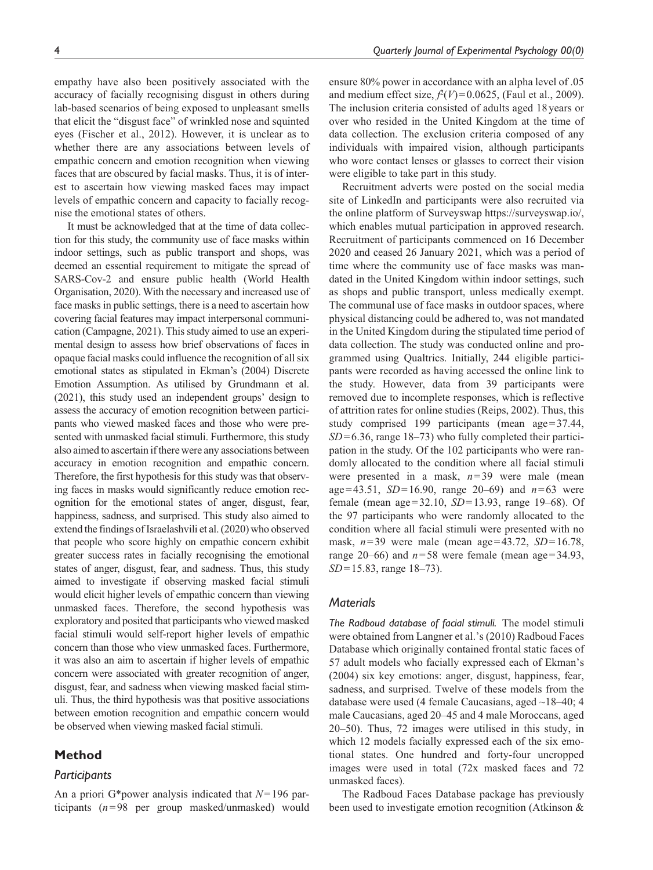empathy have also been positively associated with the accuracy of facially recognising disgust in others during lab-based scenarios of being exposed to unpleasant smells that elicit the "disgust face" of wrinkled nose and squinted eyes (Fischer et al., 2012). However, it is unclear as to whether there are any associations between levels of empathic concern and emotion recognition when viewing faces that are obscured by facial masks. Thus, it is of interest to ascertain how viewing masked faces may impact levels of empathic concern and capacity to facially recognise the emotional states of others.

It must be acknowledged that at the time of data collection for this study, the community use of face masks within indoor settings, such as public transport and shops, was deemed an essential requirement to mitigate the spread of SARS-Cov-2 and ensure public health (World Health Organisation, 2020). With the necessary and increased use of face masks in public settings, there is a need to ascertain how covering facial features may impact interpersonal communication (Campagne, 2021). This study aimed to use an experimental design to assess how brief observations of faces in opaque facial masks could influence the recognition of all six emotional states as stipulated in Ekman's (2004) Discrete Emotion Assumption. As utilised by Grundmann et al. (2021), this study used an independent groups' design to assess the accuracy of emotion recognition between participants who viewed masked faces and those who were presented with unmasked facial stimuli. Furthermore, this study also aimed to ascertain if there were any associations between accuracy in emotion recognition and empathic concern. Therefore, the first hypothesis for this study was that observing faces in masks would significantly reduce emotion recognition for the emotional states of anger, disgust, fear, happiness, sadness, and surprised. This study also aimed to extend the findings of Israelashvili et al. (2020) who observed that people who score highly on empathic concern exhibit greater success rates in facially recognising the emotional states of anger, disgust, fear, and sadness. Thus, this study aimed to investigate if observing masked facial stimuli would elicit higher levels of empathic concern than viewing unmasked faces. Therefore, the second hypothesis was exploratory and posited that participants who viewed masked facial stimuli would self-report higher levels of empathic concern than those who view unmasked faces. Furthermore, it was also an aim to ascertain if higher levels of empathic concern were associated with greater recognition of anger, disgust, fear, and sadness when viewing masked facial stimuli. Thus, the third hypothesis was that positive associations between emotion recognition and empathic concern would be observed when viewing masked facial stimuli.

#### **Method**

#### *Participants*

An a priori G\*power analysis indicated that *N*=196 participants (*n*=98 per group masked/unmasked) would ensure 80% power in accordance with an alpha level of .05 and medium effect size,  $f^2(V) = 0.0625$ , (Faul et al., 2009). The inclusion criteria consisted of adults aged 18years or over who resided in the United Kingdom at the time of data collection. The exclusion criteria composed of any individuals with impaired vision, although participants who wore contact lenses or glasses to correct their vision were eligible to take part in this study.

Recruitment adverts were posted on the social media site of LinkedIn and participants were also recruited via the online platform of Surveyswap<https://surveyswap.io/>, which enables mutual participation in approved research. Recruitment of participants commenced on 16 December 2020 and ceased 26 January 2021, which was a period of time where the community use of face masks was mandated in the United Kingdom within indoor settings, such as shops and public transport, unless medically exempt. The communal use of face masks in outdoor spaces, where physical distancing could be adhered to, was not mandated in the United Kingdom during the stipulated time period of data collection. The study was conducted online and programmed using Qualtrics. Initially, 244 eligible participants were recorded as having accessed the online link to the study. However, data from 39 participants were removed due to incomplete responses, which is reflective of attrition rates for online studies (Reips, 2002). Thus, this study comprised 199 participants (mean age=37.44, *SD*=6.36, range 18–73) who fully completed their participation in the study. Of the 102 participants who were randomly allocated to the condition where all facial stimuli were presented in a mask, *n*=39 were male (mean age=43.51, *SD*=16.90, range 20–69) and *n*=63 were female (mean age=32.10, *SD*=13.93, range 19–68). Of the 97 participants who were randomly allocated to the condition where all facial stimuli were presented with no mask, *n*=39 were male (mean age=43.72, *SD*=16.78, range 20–66) and  $n=58$  were female (mean age=34.93, *SD*=15.83, range 18–73).

#### *Materials*

*The Radboud database of facial stimuli.* The model stimuli were obtained from Langner et al.'s (2010) Radboud Faces Database which originally contained frontal static faces of 57 adult models who facially expressed each of Ekman's (2004) six key emotions: anger, disgust, happiness, fear, sadness, and surprised. Twelve of these models from the database were used (4 female Caucasians, aged ~18–40; 4 male Caucasians, aged 20–45 and 4 male Moroccans, aged 20–50). Thus, 72 images were utilised in this study, in which 12 models facially expressed each of the six emotional states. One hundred and forty-four uncropped images were used in total (72x masked faces and 72 unmasked faces).

The Radboud Faces Database package has previously been used to investigate emotion recognition (Atkinson &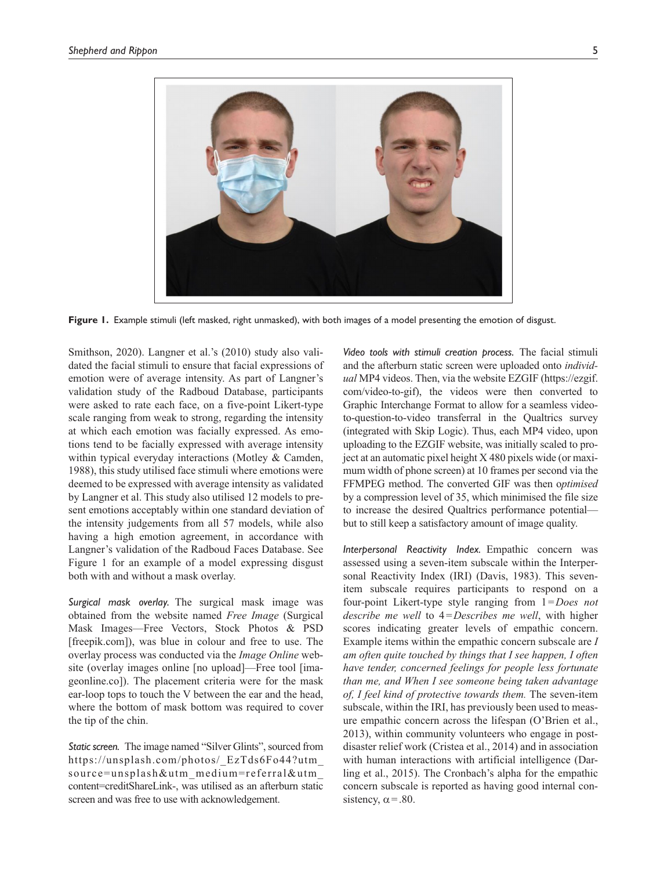

**Figure 1.** Example stimuli (left masked, right unmasked), with both images of a model presenting the emotion of disgust.

Smithson, 2020). Langner et al.'s (2010) study also validated the facial stimuli to ensure that facial expressions of emotion were of average intensity. As part of Langner's validation study of the Radboud Database, participants were asked to rate each face, on a five-point Likert-type scale ranging from weak to strong, regarding the intensity at which each emotion was facially expressed. As emotions tend to be facially expressed with average intensity within typical everyday interactions (Motley & Camden, 1988), this study utilised face stimuli where emotions were deemed to be expressed with average intensity as validated by Langner et al. This study also utilised 12 models to present emotions acceptably within one standard deviation of the intensity judgements from all 57 models, while also having a high emotion agreement, in accordance with Langner's validation of the Radboud Faces Database. See Figure 1 for an example of a model expressing disgust both with and without a mask overlay.

*Surgical mask overlay.* The surgical mask image was obtained from the website named *Free Image* (Surgical Mask Images—Free Vectors, Stock Photos & PSD [freepik.com]), was blue in colour and free to use. The overlay process was conducted via the *Image Online* website (overlay images online [no upload]—Free tool [imageonline.co]). The placement criteria were for the mask ear-loop tops to touch the V between the ear and the head, where the bottom of mask bottom was required to cover the tip of the chin.

*Static screen.* The image named "Silver Glints", sourced from [https://unsplash.com/photos/\\_EzTds6Fo44?utm\\_](https://unsplash.com/photos/_EzTds6Fo44?utm_source=unsplash&utm_medium=referral&utm_content=creditShareLink-) [source=unsplash&utm\\_medium=referral&utm\\_](https://unsplash.com/photos/_EzTds6Fo44?utm_source=unsplash&utm_medium=referral&utm_content=creditShareLink-) [content=creditShareLink-](https://unsplash.com/photos/_EzTds6Fo44?utm_source=unsplash&utm_medium=referral&utm_content=creditShareLink-), was utilised as an afterburn static screen and was free to use with acknowledgement.

*Video tools with stimuli creation process.* The facial stimuli and the afterburn static screen were uploaded onto *individual* MP4 videos. Then, via the website EZGIF ([https://ezgif.](https://ezgif.com/video-to-gif) [com/video-to-gif](https://ezgif.com/video-to-gif)), the videos were then converted to Graphic Interchange Format to allow for a seamless videoto-question-to-video transferral in the Qualtrics survey (integrated with Skip Logic). Thus, each MP4 video, upon uploading to the EZGIF website, was initially scaled to project at an automatic pixel height X 480 pixels wide (or maximum width of phone screen) at 10 frames per second via the FFMPEG method. The converted GIF was then o*ptimised* by a compression level of 35, which minimised the file size to increase the desired Qualtrics performance potential but to still keep a satisfactory amount of image quality.

*Interpersonal Reactivity Index.* Empathic concern was assessed using a seven-item subscale within the Interpersonal Reactivity Index (IRI) (Davis, 1983). This sevenitem subscale requires participants to respond on a four-point Likert-type style ranging from 1=*Does not describe me well* to 4=*Describes me well*, with higher scores indicating greater levels of empathic concern. Example items within the empathic concern subscale are *I am often quite touched by things that I see happen, I often have tender, concerned feelings for people less fortunate than me, and When I see someone being taken advantage of, I feel kind of protective towards them.* The seven-item subscale, within the IRI, has previously been used to measure empathic concern across the lifespan (O'Brien et al., 2013), within community volunteers who engage in postdisaster relief work (Cristea et al., 2014) and in association with human interactions with artificial intelligence (Darling et al., 2015). The Cronbach's alpha for the empathic concern subscale is reported as having good internal consistency,  $\alpha$  = .80.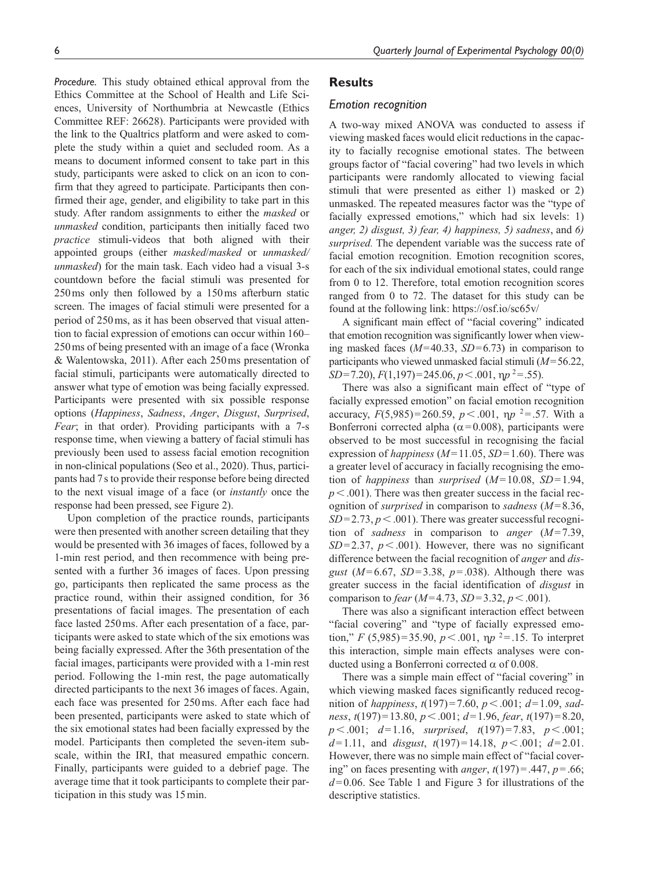*Procedure.* This study obtained ethical approval from the Ethics Committee at the School of Health and Life Sciences, University of Northumbria at Newcastle (Ethics Committee REF: 26628). Participants were provided with the link to the Qualtrics platform and were asked to complete the study within a quiet and secluded room. As a means to document informed consent to take part in this study, participants were asked to click on an icon to confirm that they agreed to participate. Participants then confirmed their age, gender, and eligibility to take part in this study. After random assignments to either the *masked* or *unmasked* condition, participants then initially faced two *practice* stimuli-videos that both aligned with their appointed groups (either *masked*/*masked* or *unmasked/ unmasked*) for the main task. Each video had a visual 3-s countdown before the facial stimuli was presented for 250ms only then followed by a 150ms afterburn static screen. The images of facial stimuli were presented for a period of 250ms, as it has been observed that visual attention to facial expression of emotions can occur within 160– 250ms of being presented with an image of a face (Wronka & Walentowska, 2011). After each 250ms presentation of facial stimuli, participants were automatically directed to answer what type of emotion was being facially expressed. Participants were presented with six possible response options (*Happiness*, *Sadness*, *Anger*, *Disgust*, *Surprised*, *Fear*; in that order). Providing participants with a 7-s response time, when viewing a battery of facial stimuli has previously been used to assess facial emotion recognition in non-clinical populations (Seo et al., 2020). Thus, participants had 7s to provide their response before being directed to the next visual image of a face (or *instantly* once the response had been pressed, see Figure 2).

Upon completion of the practice rounds, participants were then presented with another screen detailing that they would be presented with 36 images of faces, followed by a 1-min rest period, and then recommence with being presented with a further 36 images of faces. Upon pressing go, participants then replicated the same process as the practice round, within their assigned condition, for 36 presentations of facial images. The presentation of each face lasted 250ms. After each presentation of a face, participants were asked to state which of the six emotions was being facially expressed. After the 36th presentation of the facial images, participants were provided with a 1-min rest period. Following the 1-min rest, the page automatically directed participants to the next 36 images of faces. Again, each face was presented for 250ms. After each face had been presented, participants were asked to state which of the six emotional states had been facially expressed by the model. Participants then completed the seven-item subscale, within the IRI, that measured empathic concern. Finally, participants were guided to a debrief page. The average time that it took participants to complete their participation in this study was 15min.

#### **Results**

#### *Emotion recognition*

A two-way mixed ANOVA was conducted to assess if viewing masked faces would elicit reductions in the capacity to facially recognise emotional states. The between groups factor of "facial covering" had two levels in which participants were randomly allocated to viewing facial stimuli that were presented as either 1) masked or 2) unmasked. The repeated measures factor was the "type of facially expressed emotions," which had six levels: 1) *anger, 2) disgust, 3) fear, 4) happiness, 5) sadness*, and *6) surprised.* The dependent variable was the success rate of facial emotion recognition. Emotion recognition scores, for each of the six individual emotional states, could range from 0 to 12. Therefore, total emotion recognition scores ranged from 0 to 72. The dataset for this study can be found at the following link: <https://osf.io/sc65v/>

A significant main effect of "facial covering" indicated that emotion recognition was significantly lower when viewing masked faces (*M*=40.33, *SD*=6.73) in comparison to participants who viewed unmasked facial stimuli (*M*=56.22, *SD*=7.20),  $F(1,197)$ =245.06,  $p < .001$ ,  $np^2$ =.55).

There was also a significant main effect of "type of facially expressed emotion" on facial emotion recognition accuracy,  $F(5,985) = 260.59$ ,  $p < .001$ ,  $np^2 = .57$ . With a Bonferroni corrected alpha ( $\alpha$ =0.008), participants were observed to be most successful in recognising the facial expression of *happiness* (*M*=11.05, *SD*=1.60). There was a greater level of accuracy in facially recognising the emotion of *happiness* than *surprised* (*M*=10.08, *SD*=1.94,  $p < .001$ ). There was then greater success in the facial recognition of *surprised* in comparison to *sadness* (*M*=8.36,  $SD = 2.73$ ,  $p < .001$ ). There was greater successful recognition of *sadness* in comparison to *anger* (*M*=7.39, *SD*=2.37,  $p < .001$ ). However, there was no significant difference between the facial recognition of *anger* and *disgust* (*M*=6.67, *SD*=3.38, *p*=.038). Although there was greater success in the facial identification of *disgust* in comparison to *fear* (*M*=4.73, *SD*=3.32, *p*<.001).

There was also a significant interaction effect between "facial covering" and "type of facially expressed emotion," *F* (5,985)=35.90,  $p < .001$ ,  $\eta p^2 = .15$ . To interpret this interaction, simple main effects analyses were conducted using a Bonferroni corrected  $\alpha$  of 0.008.

There was a simple main effect of "facial covering" in which viewing masked faces significantly reduced recognition of *happiness*, *t*(197)=7.60, *p*<.001; *d*=1.09, *sadness*, *t*(197)=13.80, *p*<.001; *d*=1.96, *fear*, *t*(197)=8.20, *p*<.001; *d*=1.16, *surprised*, *t*(197)=7.83, *p*<.001; *d*=1.11, and *disgust*, *t*(197)=14.18, *p*<.001; *d*=2.01. However, there was no simple main effect of "facial covering" on faces presenting with *anger*, *t*(197)=.447, *p*=.66; *d*=0.06. See Table 1 and Figure 3 for illustrations of the descriptive statistics.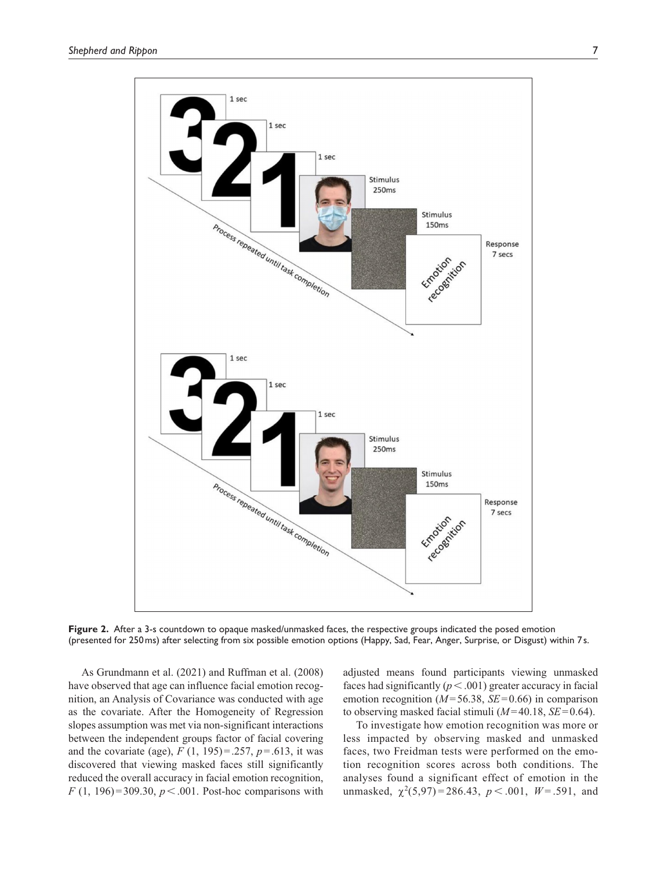

**Figure 2.** After a 3-s countdown to opaque masked/unmasked faces, the respective groups indicated the posed emotion (presented for 250ms) after selecting from six possible emotion options (Happy, Sad, Fear, Anger, Surprise, or Disgust) within 7s.

As Grundmann et al. (2021) and Ruffman et al. (2008) have observed that age can influence facial emotion recognition, an Analysis of Covariance was conducted with age as the covariate. After the Homogeneity of Regression slopes assumption was met via non-significant interactions between the independent groups factor of facial covering and the covariate (age),  $F(1, 195) = .257$ ,  $p = .613$ , it was discovered that viewing masked faces still significantly reduced the overall accuracy in facial emotion recognition, *F* (1, 196)=309.30, *p*<.001. Post-hoc comparisons with

adjusted means found participants viewing unmasked faces had significantly  $(p < .001)$  greater accuracy in facial emotion recognition (*M*=56.38, *SE*=0.66) in comparison to observing masked facial stimuli (*M*=40.18, *SE*=0.64).

To investigate how emotion recognition was more or less impacted by observing masked and unmasked faces, two Freidman tests were performed on the emotion recognition scores across both conditions. The analyses found a significant effect of emotion in the unmasked,  $\chi^2(5.97) = 286.43$ ,  $p < .001$ ,  $W = .591$ , and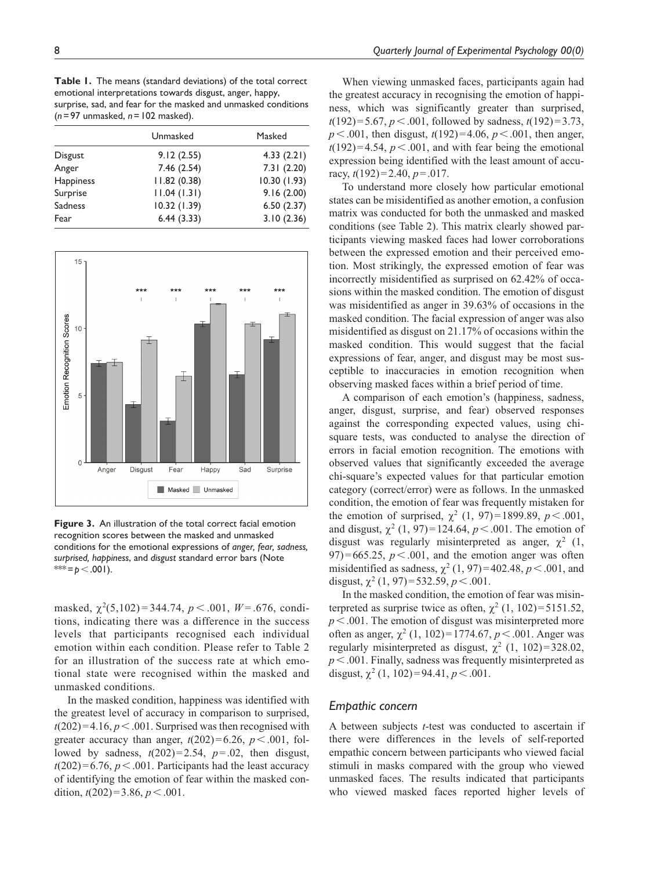**Table 1.** The means (standard deviations) of the total correct emotional interpretations towards disgust, anger, happy, surprise, sad, and fear for the masked and unmasked conditions (*n*=97 unmasked, *n*=102 masked).

|                | Unmasked     | Masked      |  |
|----------------|--------------|-------------|--|
| <b>Disgust</b> | 9.12(2.55)   | 4.33(2.21)  |  |
| Anger          | 7.46(2.54)   | 7.31(2.20)  |  |
| Happiness      | 11.82(0.38)  | 10.30(1.93) |  |
| Surprise       | 11.04(1.31)  | 9.16(2.00)  |  |
| <b>Sadness</b> | 10.32 (1.39) | 6.50(2.37)  |  |
| Fear           | 6.44(3.33)   | 3.10(2.36)  |  |



**Figure 3.** An illustration of the total correct facial emotion recognition scores between the masked and unmasked conditions for the emotional expressions of *anger, fear, sadness, surprised, happiness*, and *disgust* standard error bars (Note \*\*\*= $p < .001$ ).

masked, χ<sup>2</sup> (5,102) = 344.74, *p* < .001, *W* = .676, conditions, indicating there was a difference in the success levels that participants recognised each individual emotion within each condition. Please refer to Table 2 for an illustration of the success rate at which emotional state were recognised within the masked and unmasked conditions.

In the masked condition, happiness was identified with the greatest level of accuracy in comparison to surprised,  $t(202)=4.16, p<.001$ . Surprised was then recognised with greater accuracy than anger,  $t(202)=6.26$ ,  $p < .001$ , followed by sadness,  $t(202)=2.54$ ,  $p=.02$ , then disgust,  $t(202)=6.76$ ,  $p < .001$ . Participants had the least accuracy of identifying the emotion of fear within the masked condition,  $t(202)=3.86$ ,  $p < .001$ .

When viewing unmasked faces, participants again had the greatest accuracy in recognising the emotion of happiness, which was significantly greater than surprised, *t*(192)=5.67, *p*<.001, followed by sadness, *t*(192)=3.73, *p*<.001, then disgust, *t*(192)=4.06, *p*<.001, then anger,  $t(192)=4.54$ ,  $p < .001$ , and with fear being the emotional expression being identified with the least amount of accuracy, *t*(192)=2.40, *p*=.017.

To understand more closely how particular emotional states can be misidentified as another emotion, a confusion matrix was conducted for both the unmasked and masked conditions (see Table 2). This matrix clearly showed participants viewing masked faces had lower corroborations between the expressed emotion and their perceived emotion. Most strikingly, the expressed emotion of fear was incorrectly misidentified as surprised on 62.42% of occasions within the masked condition. The emotion of disgust was misidentified as anger in 39.63% of occasions in the masked condition. The facial expression of anger was also misidentified as disgust on 21.17% of occasions within the masked condition. This would suggest that the facial expressions of fear, anger, and disgust may be most susceptible to inaccuracies in emotion recognition when observing masked faces within a brief period of time.

A comparison of each emotion's (happiness, sadness, anger, disgust, surprise, and fear) observed responses against the corresponding expected values, using chisquare tests, was conducted to analyse the direction of errors in facial emotion recognition. The emotions with observed values that significantly exceeded the average chi-square's expected values for that particular emotion category (correct/error) were as follows. In the unmasked condition, the emotion of fear was frequently mistaken for the emotion of surprised,  $\chi^2$  (1, 97)=1899.89, *p* < .001, and disgust,  $\chi^2$  (1, 97)=124.64, *p* < .001. The emotion of disgust was regularly misinterpreted as anger,  $\chi^2$  (1, 97)=665.25,  $p < .001$ , and the emotion anger was often misidentified as sadness,  $\chi^2$  (1, 97)=402.48, *p* < .001, and disgust,  $\chi^2$  (1, 97)=532.59, *p* < .001.

In the masked condition, the emotion of fear was misinterpreted as surprise twice as often,  $\chi^2$  (1, 102)=5151.52, *p*<.001. The emotion of disgust was misinterpreted more often as anger,  $\chi^2$  (1, 102)=1774.67,  $p < .001$ . Anger was regularly misinterpreted as disgust,  $\chi^2$  (1, 102)=328.02, *p*<.001. Finally, sadness was frequently misinterpreted as disgust,  $\chi^2$  (1, 102)=94.41,  $p < .001$ .

#### *Empathic concern*

A between subjects *t*-test was conducted to ascertain if there were differences in the levels of self-reported empathic concern between participants who viewed facial stimuli in masks compared with the group who viewed unmasked faces. The results indicated that participants who viewed masked faces reported higher levels of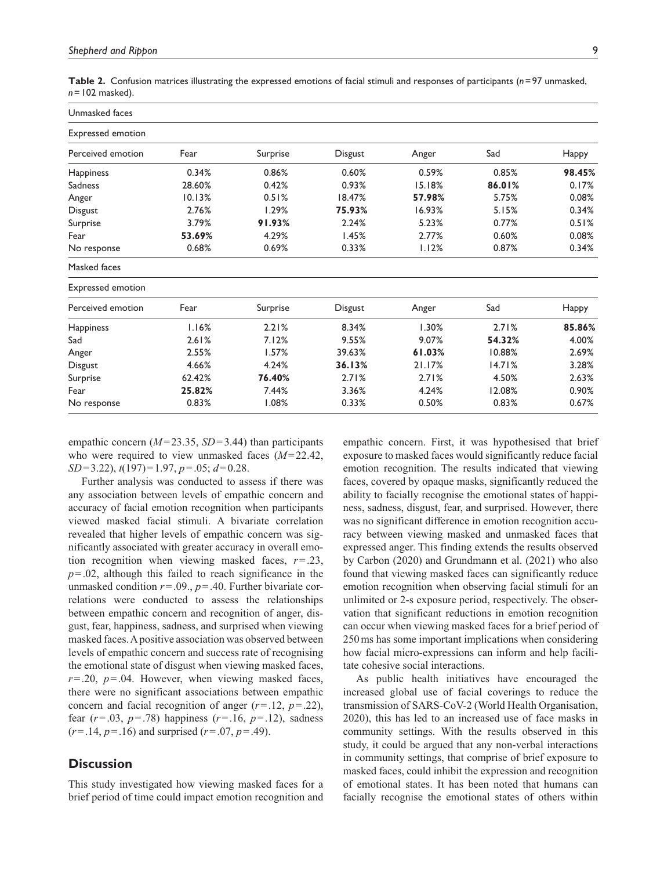| Unmasked faces           |        |          |         |        |        |        |  |  |  |
|--------------------------|--------|----------|---------|--------|--------|--------|--|--|--|
| Expressed emotion        |        |          |         |        |        |        |  |  |  |
| Perceived emotion        | Fear   | Surprise | Disgust | Anger  | Sad    | Нарру  |  |  |  |
| <b>Happiness</b>         | 0.34%  | 0.86%    | 0.60%   | 0.59%  | 0.85%  | 98.45% |  |  |  |
| Sadness                  | 28.60% | 0.42%    | 0.93%   | 15.18% | 86.01% | 0.17%  |  |  |  |
| Anger                    | 10.13% | 0.51%    | 18.47%  | 57.98% | 5.75%  | 0.08%  |  |  |  |
| <b>Disgust</b>           | 2.76%  | 1.29%    | 75.93%  | 16.93% | 5.15%  | 0.34%  |  |  |  |
| Surprise                 | 3.79%  | 91.93%   | 2.24%   | 5.23%  | 0.77%  | 0.51%  |  |  |  |
| Fear                     | 53.69% | 4.29%    | 1.45%   | 2.77%  | 0.60%  | 0.08%  |  |  |  |
| No response              | 0.68%  | 0.69%    | 0.33%   | 1.12%  | 0.87%  | 0.34%  |  |  |  |
| Masked faces             |        |          |         |        |        |        |  |  |  |
| <b>Expressed emotion</b> |        |          |         |        |        |        |  |  |  |
| Perceived emotion        | Fear   | Surprise | Disgust | Anger  | Sad    | Нарру  |  |  |  |
| <b>Happiness</b>         | 1.16%  | 2.21%    | 8.34%   | 1.30%  | 2.71%  | 85.86% |  |  |  |
| Sad                      | 2.61%  | 7.12%    | 9.55%   | 9.07%  | 54.32% | 4.00%  |  |  |  |
| Anger                    | 2.55%  | 1.57%    | 39.63%  | 61.03% | 10.88% | 2.69%  |  |  |  |
| <b>Disgust</b>           | 4.66%  | 4.24%    | 36.13%  | 21.17% | 14.71% | 3.28%  |  |  |  |
| Surprise                 | 62.42% | 76.40%   | 2.71%   | 2.71%  | 4.50%  | 2.63%  |  |  |  |
| Fear                     | 25.82% | 7.44%    | 3.36%   | 4.24%  | 12.08% | 0.90%  |  |  |  |

No response 0.83% 1.08% 0.33% 0.50% 0.83% 0.67%

**Table 2.** Confusion matrices illustrating the expressed emotions of facial stimuli and responses of participants (*n*=97 unmasked, *n*=102 masked).

empathic concern (*M*=23.35, *SD*=3.44) than participants who were required to view unmasked faces (*M*=22.42, *SD*=3.22), *t*(197)=1.97, *p*=.05; *d*=0.28.

Further analysis was conducted to assess if there was any association between levels of empathic concern and accuracy of facial emotion recognition when participants viewed masked facial stimuli. A bivariate correlation revealed that higher levels of empathic concern was significantly associated with greater accuracy in overall emotion recognition when viewing masked faces, *r*=.23,  $p = 0.02$ , although this failed to reach significance in the unmasked condition *r*=.09., *p*=.40. Further bivariate correlations were conducted to assess the relationships between empathic concern and recognition of anger, disgust, fear, happiness, sadness, and surprised when viewing masked faces. A positive association was observed between levels of empathic concern and success rate of recognising the emotional state of disgust when viewing masked faces,  $r = 0.20$ ,  $p = 0.04$ . However, when viewing masked faces, there were no significant associations between empathic concern and facial recognition of anger  $(r=.12, p=.22)$ , fear (*r*=.03, *p*=.78) happiness (*r*=.16, *p*=.12), sadness (*r*=.14, *p*=.16) and surprised (*r*=.07, *p*=.49).

#### **Discussion**

This study investigated how viewing masked faces for a brief period of time could impact emotion recognition and

empathic concern. First, it was hypothesised that brief exposure to masked faces would significantly reduce facial emotion recognition. The results indicated that viewing faces, covered by opaque masks, significantly reduced the ability to facially recognise the emotional states of happiness, sadness, disgust, fear, and surprised. However, there was no significant difference in emotion recognition accuracy between viewing masked and unmasked faces that expressed anger. This finding extends the results observed by Carbon (2020) and Grundmann et al. (2021) who also found that viewing masked faces can significantly reduce emotion recognition when observing facial stimuli for an unlimited or 2-s exposure period, respectively. The observation that significant reductions in emotion recognition can occur when viewing masked faces for a brief period of 250ms has some important implications when considering how facial micro-expressions can inform and help facilitate cohesive social interactions.

As public health initiatives have encouraged the increased global use of facial coverings to reduce the transmission of SARS-CoV-2 (World Health Organisation, 2020), this has led to an increased use of face masks in community settings. With the results observed in this study, it could be argued that any non-verbal interactions in community settings, that comprise of brief exposure to masked faces, could inhibit the expression and recognition of emotional states. It has been noted that humans can facially recognise the emotional states of others within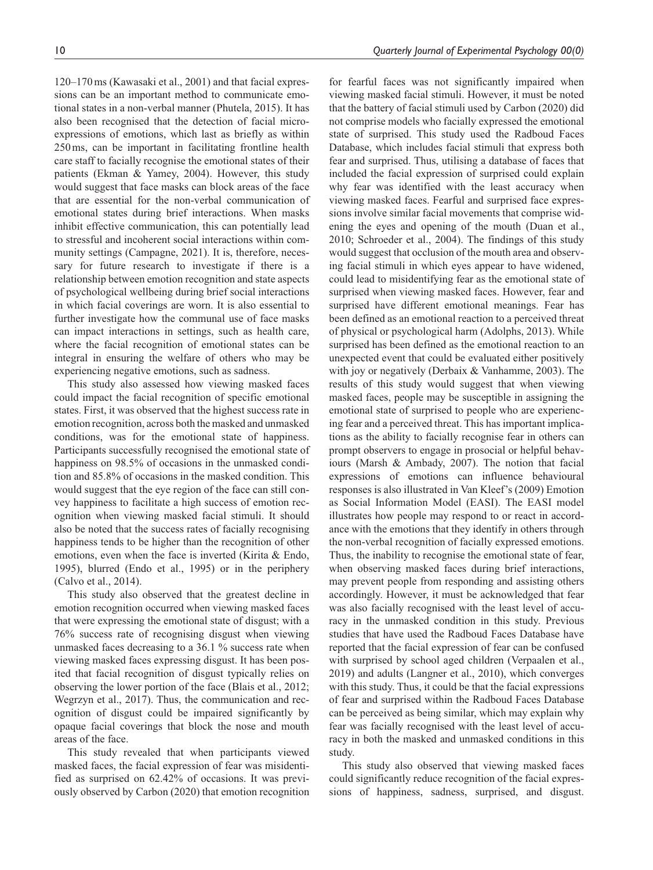120–170ms (Kawasaki et al., 2001) and that facial expressions can be an important method to communicate emotional states in a non-verbal manner (Phutela, 2015). It has also been recognised that the detection of facial microexpressions of emotions, which last as briefly as within 250ms, can be important in facilitating frontline health care staff to facially recognise the emotional states of their patients (Ekman & Yamey, 2004). However, this study would suggest that face masks can block areas of the face that are essential for the non-verbal communication of emotional states during brief interactions. When masks inhibit effective communication, this can potentially lead to stressful and incoherent social interactions within community settings (Campagne, 2021). It is, therefore, necessary for future research to investigate if there is a relationship between emotion recognition and state aspects of psychological wellbeing during brief social interactions in which facial coverings are worn. It is also essential to further investigate how the communal use of face masks can impact interactions in settings, such as health care, where the facial recognition of emotional states can be integral in ensuring the welfare of others who may be experiencing negative emotions, such as sadness.

This study also assessed how viewing masked faces could impact the facial recognition of specific emotional states. First, it was observed that the highest success rate in emotion recognition, across both the masked and unmasked conditions, was for the emotional state of happiness. Participants successfully recognised the emotional state of happiness on 98.5% of occasions in the unmasked condition and 85.8% of occasions in the masked condition. This would suggest that the eye region of the face can still convey happiness to facilitate a high success of emotion recognition when viewing masked facial stimuli. It should also be noted that the success rates of facially recognising happiness tends to be higher than the recognition of other emotions, even when the face is inverted (Kirita & Endo, 1995), blurred (Endo et al., 1995) or in the periphery (Calvo et al., 2014).

This study also observed that the greatest decline in emotion recognition occurred when viewing masked faces that were expressing the emotional state of disgust; with a 76% success rate of recognising disgust when viewing unmasked faces decreasing to a 36.1 % success rate when viewing masked faces expressing disgust. It has been posited that facial recognition of disgust typically relies on observing the lower portion of the face (Blais et al., 2012; Wegrzyn et al., 2017). Thus, the communication and recognition of disgust could be impaired significantly by opaque facial coverings that block the nose and mouth areas of the face.

This study revealed that when participants viewed masked faces, the facial expression of fear was misidentified as surprised on 62.42% of occasions. It was previously observed by Carbon (2020) that emotion recognition for fearful faces was not significantly impaired when viewing masked facial stimuli. However, it must be noted that the battery of facial stimuli used by Carbon (2020) did not comprise models who facially expressed the emotional state of surprised. This study used the Radboud Faces Database, which includes facial stimuli that express both fear and surprised. Thus, utilising a database of faces that included the facial expression of surprised could explain why fear was identified with the least accuracy when viewing masked faces. Fearful and surprised face expressions involve similar facial movements that comprise widening the eyes and opening of the mouth (Duan et al., 2010; Schroeder et al., 2004). The findings of this study would suggest that occlusion of the mouth area and observing facial stimuli in which eyes appear to have widened, could lead to misidentifying fear as the emotional state of surprised when viewing masked faces. However, fear and surprised have different emotional meanings. Fear has been defined as an emotional reaction to a perceived threat of physical or psychological harm (Adolphs, 2013). While surprised has been defined as the emotional reaction to an unexpected event that could be evaluated either positively with joy or negatively (Derbaix & Vanhamme, 2003). The results of this study would suggest that when viewing masked faces, people may be susceptible in assigning the emotional state of surprised to people who are experiencing fear and a perceived threat. This has important implications as the ability to facially recognise fear in others can prompt observers to engage in prosocial or helpful behaviours (Marsh & Ambady, 2007). The notion that facial expressions of emotions can influence behavioural responses is also illustrated in Van Kleef's (2009) Emotion as Social Information Model (EASI). The EASI model illustrates how people may respond to or react in accordance with the emotions that they identify in others through the non-verbal recognition of facially expressed emotions. Thus, the inability to recognise the emotional state of fear, when observing masked faces during brief interactions, may prevent people from responding and assisting others accordingly. However, it must be acknowledged that fear was also facially recognised with the least level of accuracy in the unmasked condition in this study. Previous studies that have used the Radboud Faces Database have reported that the facial expression of fear can be confused with surprised by school aged children (Verpaalen et al., 2019) and adults (Langner et al., 2010), which converges with this study. Thus, it could be that the facial expressions of fear and surprised within the Radboud Faces Database can be perceived as being similar, which may explain why fear was facially recognised with the least level of accuracy in both the masked and unmasked conditions in this study.

This study also observed that viewing masked faces could significantly reduce recognition of the facial expressions of happiness, sadness, surprised, and disgust.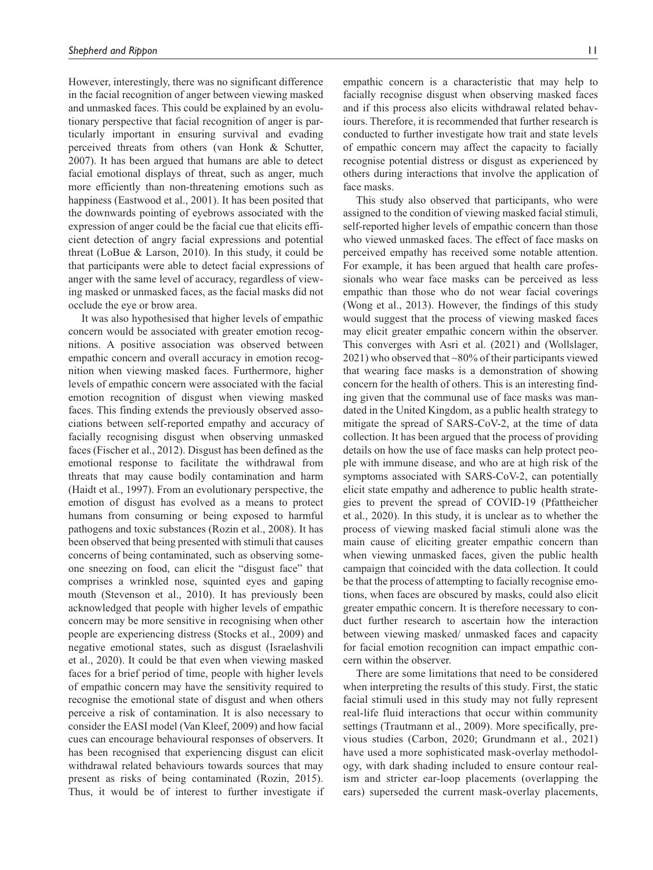However, interestingly, there was no significant difference in the facial recognition of anger between viewing masked and unmasked faces. This could be explained by an evolutionary perspective that facial recognition of anger is particularly important in ensuring survival and evading perceived threats from others (van Honk & Schutter, 2007). It has been argued that humans are able to detect facial emotional displays of threat, such as anger, much more efficiently than non-threatening emotions such as happiness (Eastwood et al., 2001). It has been posited that the downwards pointing of eyebrows associated with the expression of anger could be the facial cue that elicits efficient detection of angry facial expressions and potential threat (LoBue & Larson, 2010). In this study, it could be that participants were able to detect facial expressions of anger with the same level of accuracy, regardless of viewing masked or unmasked faces, as the facial masks did not occlude the eye or brow area.

It was also hypothesised that higher levels of empathic concern would be associated with greater emotion recognitions. A positive association was observed between empathic concern and overall accuracy in emotion recognition when viewing masked faces. Furthermore, higher levels of empathic concern were associated with the facial emotion recognition of disgust when viewing masked faces. This finding extends the previously observed associations between self-reported empathy and accuracy of facially recognising disgust when observing unmasked faces (Fischer et al., 2012). Disgust has been defined as the emotional response to facilitate the withdrawal from threats that may cause bodily contamination and harm (Haidt et al., 1997). From an evolutionary perspective, the emotion of disgust has evolved as a means to protect humans from consuming or being exposed to harmful pathogens and toxic substances (Rozin et al., 2008). It has been observed that being presented with stimuli that causes concerns of being contaminated, such as observing someone sneezing on food, can elicit the "disgust face" that comprises a wrinkled nose, squinted eyes and gaping mouth (Stevenson et al., 2010). It has previously been acknowledged that people with higher levels of empathic concern may be more sensitive in recognising when other people are experiencing distress (Stocks et al., 2009) and negative emotional states, such as disgust (Israelashvili et al., 2020). It could be that even when viewing masked faces for a brief period of time, people with higher levels of empathic concern may have the sensitivity required to recognise the emotional state of disgust and when others perceive a risk of contamination. It is also necessary to consider the EASI model (Van Kleef, 2009) and how facial cues can encourage behavioural responses of observers. It has been recognised that experiencing disgust can elicit withdrawal related behaviours towards sources that may present as risks of being contaminated (Rozin, 2015). Thus, it would be of interest to further investigate if

empathic concern is a characteristic that may help to facially recognise disgust when observing masked faces and if this process also elicits withdrawal related behaviours. Therefore, it is recommended that further research is conducted to further investigate how trait and state levels of empathic concern may affect the capacity to facially recognise potential distress or disgust as experienced by others during interactions that involve the application of face masks.

This study also observed that participants, who were assigned to the condition of viewing masked facial stimuli, self-reported higher levels of empathic concern than those who viewed unmasked faces. The effect of face masks on perceived empathy has received some notable attention. For example, it has been argued that health care professionals who wear face masks can be perceived as less empathic than those who do not wear facial coverings (Wong et al., 2013). However, the findings of this study would suggest that the process of viewing masked faces may elicit greater empathic concern within the observer. This converges with Asri et al. (2021) and (Wollslager, 2021) who observed that ~80% of their participants viewed that wearing face masks is a demonstration of showing concern for the health of others. This is an interesting finding given that the communal use of face masks was mandated in the United Kingdom, as a public health strategy to mitigate the spread of SARS-CoV-2, at the time of data collection. It has been argued that the process of providing details on how the use of face masks can help protect people with immune disease, and who are at high risk of the symptoms associated with SARS-CoV-2, can potentially elicit state empathy and adherence to public health strategies to prevent the spread of COVID-19 (Pfattheicher et al., 2020). In this study, it is unclear as to whether the process of viewing masked facial stimuli alone was the main cause of eliciting greater empathic concern than when viewing unmasked faces, given the public health campaign that coincided with the data collection. It could be that the process of attempting to facially recognise emotions, when faces are obscured by masks, could also elicit greater empathic concern. It is therefore necessary to conduct further research to ascertain how the interaction between viewing masked/ unmasked faces and capacity for facial emotion recognition can impact empathic concern within the observer.

There are some limitations that need to be considered when interpreting the results of this study. First, the static facial stimuli used in this study may not fully represent real-life fluid interactions that occur within community settings (Trautmann et al., 2009). More specifically, previous studies (Carbon, 2020; Grundmann et al., 2021) have used a more sophisticated mask-overlay methodology, with dark shading included to ensure contour realism and stricter ear-loop placements (overlapping the ears) superseded the current mask-overlay placements,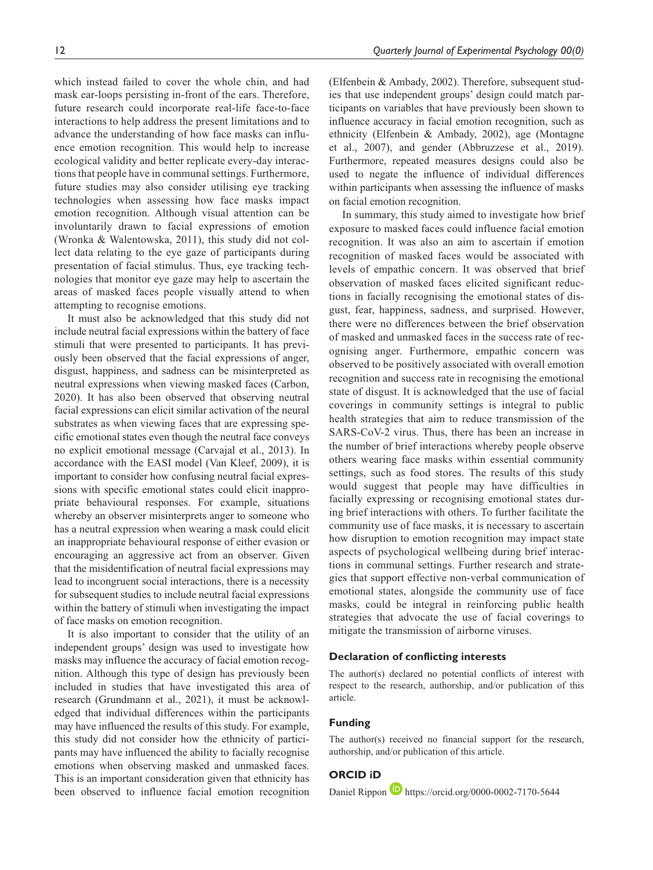which instead failed to cover the whole chin, and had mask ear-loops persisting in-front of the ears. Therefore, future research could incorporate real-life face-to-face interactions to help address the present limitations and to advance the understanding of how face masks can influence emotion recognition. This would help to increase ecological validity and better replicate every-day interactions that people have in communal settings. Furthermore, future studies may also consider utilising eye tracking technologies when assessing how face masks impact emotion recognition. Although visual attention can be involuntarily drawn to facial expressions of emotion (Wronka & Walentowska, 2011), this study did not collect data relating to the eye gaze of participants during presentation of facial stimulus. Thus, eye tracking technologies that monitor eye gaze may help to ascertain the areas of masked faces people visually attend to when attempting to recognise emotions.

It must also be acknowledged that this study did not include neutral facial expressions within the battery of face stimuli that were presented to participants. It has previously been observed that the facial expressions of anger, disgust, happiness, and sadness can be misinterpreted as neutral expressions when viewing masked faces (Carbon, 2020). It has also been observed that observing neutral facial expressions can elicit similar activation of the neural substrates as when viewing faces that are expressing specific emotional states even though the neutral face conveys no explicit emotional message (Carvajal et al., 2013). In accordance with the EASI model (Van Kleef, 2009), it is important to consider how confusing neutral facial expressions with specific emotional states could elicit inappropriate behavioural responses. For example, situations whereby an observer misinterprets anger to someone who has a neutral expression when wearing a mask could elicit an inappropriate behavioural response of either evasion or encouraging an aggressive act from an observer. Given that the misidentification of neutral facial expressions may lead to incongruent social interactions, there is a necessity for subsequent studies to include neutral facial expressions within the battery of stimuli when investigating the impact of face masks on emotion recognition.

It is also important to consider that the utility of an independent groups' design was used to investigate how masks may influence the accuracy of facial emotion recognition. Although this type of design has previously been included in studies that have investigated this area of research (Grundmann et al., 2021), it must be acknowledged that individual differences within the participants may have influenced the results of this study. For example, this study did not consider how the ethnicity of participants may have influenced the ability to facially recognise emotions when observing masked and unmasked faces. This is an important consideration given that ethnicity has been observed to influence facial emotion recognition (Elfenbein & Ambady, 2002). Therefore, subsequent studies that use independent groups' design could match participants on variables that have previously been shown to influence accuracy in facial emotion recognition, such as ethnicity (Elfenbein & Ambady, 2002), age (Montagne et al., 2007), and gender (Abbruzzese et al., 2019). Furthermore, repeated measures designs could also be used to negate the influence of individual differences within participants when assessing the influence of masks on facial emotion recognition.

In summary, this study aimed to investigate how brief exposure to masked faces could influence facial emotion recognition. It was also an aim to ascertain if emotion recognition of masked faces would be associated with levels of empathic concern. It was observed that brief observation of masked faces elicited significant reductions in facially recognising the emotional states of disgust, fear, happiness, sadness, and surprised. However, there were no differences between the brief observation of masked and unmasked faces in the success rate of recognising anger. Furthermore, empathic concern was observed to be positively associated with overall emotion recognition and success rate in recognising the emotional state of disgust. It is acknowledged that the use of facial coverings in community settings is integral to public health strategies that aim to reduce transmission of the SARS-CoV-2 virus. Thus, there has been an increase in the number of brief interactions whereby people observe others wearing face masks within essential community settings, such as food stores. The results of this study would suggest that people may have difficulties in facially expressing or recognising emotional states during brief interactions with others. To further facilitate the community use of face masks, it is necessary to ascertain how disruption to emotion recognition may impact state aspects of psychological wellbeing during brief interactions in communal settings. Further research and strategies that support effective non-verbal communication of emotional states, alongside the community use of face masks, could be integral in reinforcing public health strategies that advocate the use of facial coverings to mitigate the transmission of airborne viruses.

#### **Declaration of conflicting interests**

The author(s) declared no potential conflicts of interest with respect to the research, authorship, and/or publication of this article.

#### **Funding**

The author(s) received no financial support for the research, authorship, and/or publication of this article.

#### **ORCID iD**

Daniel Rippon **b** <https://orcid.org/0000-0002-7170-5644>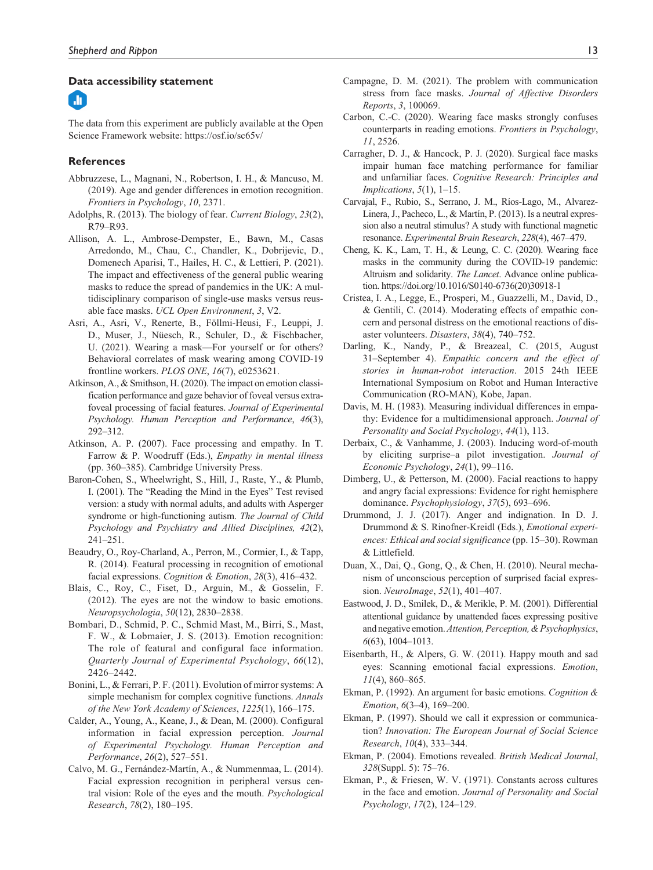#### **Data accessibility statement**



The data from this experiment are publicly available at the Open Science Framework website: <https://osf.io/sc65v/>

#### **References**

- Abbruzzese, L., Magnani, N., Robertson, I. H., & Mancuso, M. (2019). Age and gender differences in emotion recognition. *Frontiers in Psychology*, *10*, 2371.
- Adolphs, R. (2013). The biology of fear. *Current Biology*, *23*(2), R79–R93.
- Allison, A. L., Ambrose-Dempster, E., Bawn, M., Casas Arredondo, M., Chau, C., Chandler, K., Dobrijevic, D., Domenech Aparisi, T., Hailes, H. C., & Lettieri, P. (2021). The impact and effectiveness of the general public wearing masks to reduce the spread of pandemics in the UK: A multidisciplinary comparison of single-use masks versus reusable face masks. *UCL Open Environment*, *3*, V2.
- Asri, A., Asri, V., Renerte, B., Föllmi-Heusi, F., Leuppi, J. D., Muser, J., Nüesch, R., Schuler, D., & Fischbacher, U. (2021). Wearing a mask—For yourself or for others? Behavioral correlates of mask wearing among COVID-19 frontline workers. *PLOS ONE*, *16*(7), e0253621.
- Atkinson, A., & Smithson, H. (2020). The impact on emotion classification performance and gaze behavior of foveal versus extrafoveal processing of facial features. *Journal of Experimental Psychology. Human Perception and Performance*, *46*(3), 292–312.
- Atkinson, A. P. (2007). Face processing and empathy. In T. Farrow & P. Woodruff (Eds.), *Empathy in mental illness* (pp. 360–385). Cambridge University Press.
- Baron-Cohen, S., Wheelwright, S., Hill, J., Raste, Y., & Plumb, I. (2001). The "Reading the Mind in the Eyes" Test revised version: a study with normal adults, and adults with Asperger syndrome or high-functioning autism. *The Journal of Child Psychology and Psychiatry and Allied Disciplines, 42*(2), 241–251.
- Beaudry, O., Roy-Charland, A., Perron, M., Cormier, I., & Tapp, R. (2014). Featural processing in recognition of emotional facial expressions. *Cognition & Emotion*, *28*(3), 416–432.
- Blais, C., Roy, C., Fiset, D., Arguin, M., & Gosselin, F. (2012). The eyes are not the window to basic emotions. *Neuropsychologia*, *50*(12), 2830–2838.
- Bombari, D., Schmid, P. C., Schmid Mast, M., Birri, S., Mast, F. W., & Lobmaier, J. S. (2013). Emotion recognition: The role of featural and configural face information. *Quarterly Journal of Experimental Psychology*, *66*(12), 2426–2442.
- Bonini, L., & Ferrari, P. F. (2011). Evolution of mirror systems: A simple mechanism for complex cognitive functions. *Annals of the New York Academy of Sciences*, *1225*(1), 166–175.
- Calder, A., Young, A., Keane, J., & Dean, M. (2000). Configural information in facial expression perception. *Journal of Experimental Psychology. Human Perception and Performance*, *26*(2), 527–551.
- Calvo, M. G., Fernández-Martín, A., & Nummenmaa, L. (2014). Facial expression recognition in peripheral versus central vision: Role of the eyes and the mouth. *Psychological Research*, *78*(2), 180–195.
- Campagne, D. M. (2021). The problem with communication stress from face masks. *Journal of Affective Disorders Reports*, *3*, 100069.
- Carbon, C.-C. (2020). Wearing face masks strongly confuses counterparts in reading emotions. *Frontiers in Psychology*, *11*, 2526.
- Carragher, D. J., & Hancock, P. J. (2020). Surgical face masks impair human face matching performance for familiar and unfamiliar faces. *Cognitive Research: Principles and Implications*, *5*(1), 1–15.
- Carvajal, F., Rubio, S., Serrano, J. M., Ríos-Lago, M., Alvarez-Linera, J., Pacheco, L., & Martín, P. (2013). Is a neutral expression also a neutral stimulus? A study with functional magnetic resonance. *Experimental Brain Research*, *228*(4), 467–479.
- Cheng, K. K., Lam, T. H., & Leung, C. C. (2020). Wearing face masks in the community during the COVID-19 pandemic: Altruism and solidarity. *The Lancet*. Advance online publication. [https://doi.org/10.1016/S0140-6736\(20\)30918-1](https://doi.org/10.1016/S0140-6736(20)30918-1)
- Cristea, I. A., Legge, E., Prosperi, M., Guazzelli, M., David, D., & Gentili, C. (2014). Moderating effects of empathic concern and personal distress on the emotional reactions of disaster volunteers. *Disasters*, *38*(4), 740–752.
- Darling, K., Nandy, P., & Breazeal, C. (2015, August 31–September 4). *Empathic concern and the effect of stories in human-robot interaction*. 2015 24th IEEE International Symposium on Robot and Human Interactive Communication (RO-MAN), Kobe, Japan.
- Davis, M. H. (1983). Measuring individual differences in empathy: Evidence for a multidimensional approach. *Journal of Personality and Social Psychology*, *44*(1), 113.
- Derbaix, C., & Vanhamme, J. (2003). Inducing word-of-mouth by eliciting surprise–a pilot investigation. *Journal of Economic Psychology*, *24*(1), 99–116.
- Dimberg, U., & Petterson, M. (2000). Facial reactions to happy and angry facial expressions: Evidence for right hemisphere dominance. *Psychophysiology*, *37*(5), 693–696.
- Drummond, J. J. (2017). Anger and indignation. In D. J. Drummond & S. Rinofner-Kreidl (Eds.), *Emotional experiences: Ethical and social significance* (pp. 15–30). Rowman & Littlefield.
- Duan, X., Dai, Q., Gong, Q., & Chen, H. (2010). Neural mechanism of unconscious perception of surprised facial expression. *NeuroImage*, *52*(1), 401–407.
- Eastwood, J. D., Smilek, D., & Merikle, P. M. (2001). Differential attentional guidance by unattended faces expressing positive and negative emotion. *Attention, Perception, & Psychophysics*, *6*(63), 1004–1013.
- Eisenbarth, H., & Alpers, G. W. (2011). Happy mouth and sad eyes: Scanning emotional facial expressions. *Emotion*, *11*(4), 860–865.
- Ekman, P. (1992). An argument for basic emotions. *Cognition & Emotion*, *6*(3–4), 169–200.
- Ekman, P. (1997). Should we call it expression or communication? *Innovation: The European Journal of Social Science Research*, *10*(4), 333–344.
- Ekman, P. (2004). Emotions revealed. *British Medical Journal*, *328*(Suppl. 5): 75–76.
- Ekman, P., & Friesen, W. V. (1971). Constants across cultures in the face and emotion. *Journal of Personality and Social Psychology*, *17*(2), 124–129.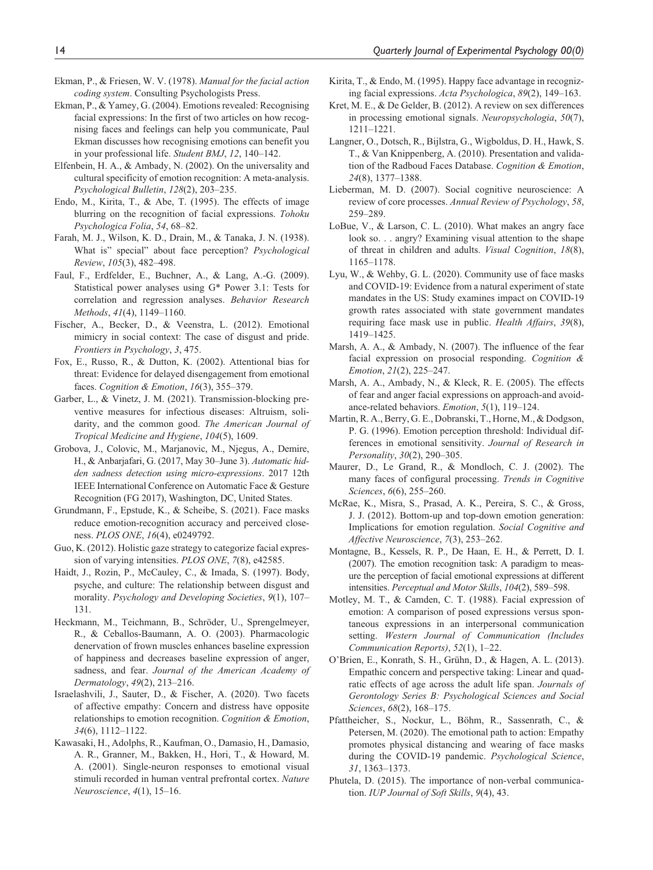- Ekman, P., & Friesen, W. V. (1978). *Manual for the facial action coding system*. Consulting Psychologists Press.
- Ekman, P., & Yamey, G. (2004). Emotions revealed: Recognising facial expressions: In the first of two articles on how recognising faces and feelings can help you communicate, Paul Ekman discusses how recognising emotions can benefit you in your professional life. *Student BMJ*, *12*, 140–142.
- Elfenbein, H. A., & Ambady, N. (2002). On the universality and cultural specificity of emotion recognition: A meta-analysis. *Psychological Bulletin*, *128*(2), 203–235.
- Endo, M., Kirita, T., & Abe, T. (1995). The effects of image blurring on the recognition of facial expressions. *Tohoku Psychologica Folia*, *54*, 68–82.
- Farah, M. J., Wilson, K. D., Drain, M., & Tanaka, J. N. (1938). What is" special" about face perception? *Psychological Review*, *105*(3), 482–498.
- Faul, F., Erdfelder, E., Buchner, A., & Lang, A.-G. (2009). Statistical power analyses using G\* Power 3.1: Tests for correlation and regression analyses. *Behavior Research Methods*, *41*(4), 1149–1160.
- Fischer, A., Becker, D., & Veenstra, L. (2012). Emotional mimicry in social context: The case of disgust and pride. *Frontiers in Psychology*, *3*, 475.
- Fox, E., Russo, R., & Dutton, K. (2002). Attentional bias for threat: Evidence for delayed disengagement from emotional faces. *Cognition & Emotion*, *16*(3), 355–379.
- Garber, L., & Vinetz, J. M. (2021). Transmission-blocking preventive measures for infectious diseases: Altruism, solidarity, and the common good. *The American Journal of Tropical Medicine and Hygiene*, *104*(5), 1609.
- Grobova, J., Colovic, M., Marjanovic, M., Njegus, A., Demire, H., & Anbarjafari, G. (2017, May 30–June 3). *Automatic hidden sadness detection using micro-expressions*. 2017 12th IEEE International Conference on Automatic Face & Gesture Recognition (FG 2017), Washington, DC, United States.
- Grundmann, F., Epstude, K., & Scheibe, S. (2021). Face masks reduce emotion-recognition accuracy and perceived closeness. *PLOS ONE*, *16*(4), e0249792.
- Guo, K. (2012). Holistic gaze strategy to categorize facial expression of varying intensities. *PLOS ONE*, *7*(8), e42585.
- Haidt, J., Rozin, P., McCauley, C., & Imada, S. (1997). Body, psyche, and culture: The relationship between disgust and morality. *Psychology and Developing Societies*, *9*(1), 107– 131.
- Heckmann, M., Teichmann, B., Schröder, U., Sprengelmeyer, R., & Ceballos-Baumann, A. O. (2003). Pharmacologic denervation of frown muscles enhances baseline expression of happiness and decreases baseline expression of anger, sadness, and fear. *Journal of the American Academy of Dermatology*, *49*(2), 213–216.
- Israelashvili, J., Sauter, D., & Fischer, A. (2020). Two facets of affective empathy: Concern and distress have opposite relationships to emotion recognition. *Cognition & Emotion*, *34*(6), 1112–1122.
- Kawasaki, H., Adolphs, R., Kaufman, O., Damasio, H., Damasio, A. R., Granner, M., Bakken, H., Hori, T., & Howard, M. A. (2001). Single-neuron responses to emotional visual stimuli recorded in human ventral prefrontal cortex. *Nature Neuroscience*, *4*(1), 15–16.
- Kirita, T., & Endo, M. (1995). Happy face advantage in recognizing facial expressions. *Acta Psychologica*, *89*(2), 149–163.
- Kret, M. E., & De Gelder, B. (2012). A review on sex differences in processing emotional signals. *Neuropsychologia*, *50*(7), 1211–1221.
- Langner, O., Dotsch, R., Bijlstra, G., Wigboldus, D. H., Hawk, S. T., & Van Knippenberg, A. (2010). Presentation and validation of the Radboud Faces Database. *Cognition & Emotion*, *24*(8), 1377–1388.
- Lieberman, M. D. (2007). Social cognitive neuroscience: A review of core processes. *Annual Review of Psychology*, *58*, 259–289.
- LoBue, V., & Larson, C. L. (2010). What makes an angry face look so. . . angry? Examining visual attention to the shape of threat in children and adults. *Visual Cognition*, *18*(8), 1165–1178.
- Lyu, W., & Wehby, G. L. (2020). Community use of face masks and COVID-19: Evidence from a natural experiment of state mandates in the US: Study examines impact on COVID-19 growth rates associated with state government mandates requiring face mask use in public. *Health Affairs*, *39*(8), 1419–1425.
- Marsh, A. A., & Ambady, N. (2007). The influence of the fear facial expression on prosocial responding. *Cognition & Emotion*, *21*(2), 225–247.
- Marsh, A. A., Ambady, N., & Kleck, R. E. (2005). The effects of fear and anger facial expressions on approach-and avoidance-related behaviors. *Emotion*, *5*(1), 119–124.
- Martin, R. A., Berry, G. E., Dobranski, T., Horne, M., & Dodgson, P. G. (1996). Emotion perception threshold: Individual differences in emotional sensitivity. *Journal of Research in Personality*, *30*(2), 290–305.
- Maurer, D., Le Grand, R., & Mondloch, C. J. (2002). The many faces of configural processing. *Trends in Cognitive Sciences*, *6*(6), 255–260.
- McRae, K., Misra, S., Prasad, A. K., Pereira, S. C., & Gross, J. J. (2012). Bottom-up and top-down emotion generation: Implications for emotion regulation. *Social Cognitive and Affective Neuroscience*, *7*(3), 253–262.
- Montagne, B., Kessels, R. P., De Haan, E. H., & Perrett, D. I. (2007). The emotion recognition task: A paradigm to measure the perception of facial emotional expressions at different intensities. *Perceptual and Motor Skills*, *104*(2), 589–598.
- Motley, M. T., & Camden, C. T. (1988). Facial expression of emotion: A comparison of posed expressions versus spontaneous expressions in an interpersonal communication setting. *Western Journal of Communication (Includes Communication Reports)*, *52*(1), 1–22.
- O'Brien, E., Konrath, S. H., Grühn, D., & Hagen, A. L. (2013). Empathic concern and perspective taking: Linear and quadratic effects of age across the adult life span. *Journals of Gerontology Series B: Psychological Sciences and Social Sciences*, *68*(2), 168–175.
- Pfattheicher, S., Nockur, L., Böhm, R., Sassenrath, C., & Petersen, M. (2020). The emotional path to action: Empathy promotes physical distancing and wearing of face masks during the COVID-19 pandemic. *Psychological Science*, *31*, 1363–1373.
- Phutela, D. (2015). The importance of non-verbal communication. *IUP Journal of Soft Skills*, *9*(4), 43.